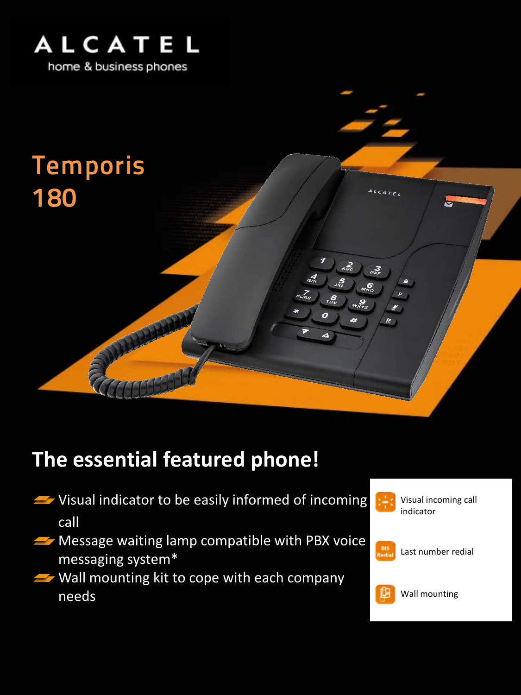



## **The essential featured phone!**

- $\blacktriangleright$  Visual indicator to be easily informed of incoming call
- **Wessage waiting lamp compatible with PBX voice** messaging system\*
- $\rightarrow$  Wall mounting kit to cope with each company needs



Visual incoming call indicator



Last number redial



Wall mounting